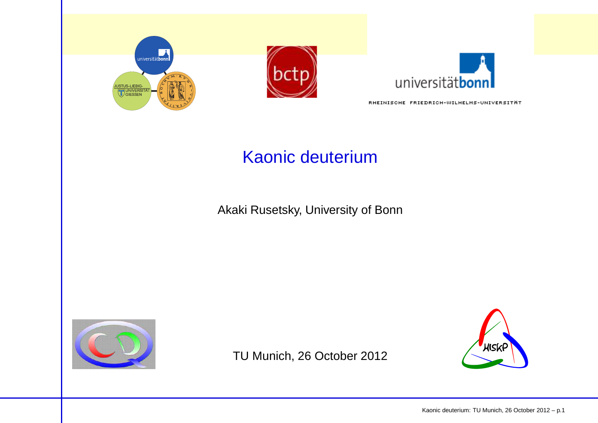





RHEINISCHE FRIEDRICH-WILHELMS-UNIVERSITÄT

## Kaonic deuterium

Akaki Rusetsky, University of Bonn



TU Munich, 26 October 2012

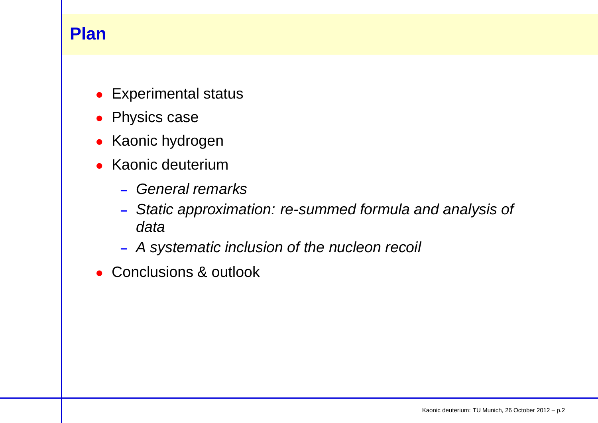## **Plan**

- Experimental status
- Physics case
- Kaonic hydrogen
- Kaonic deuterium
	- **–**– General remarks
	- **–** Static approximation: re-summed formula and analysis of data
	- **–**<sup>A</sup> systematic inclusion of the nucleon recoil
- Conclusions & outlook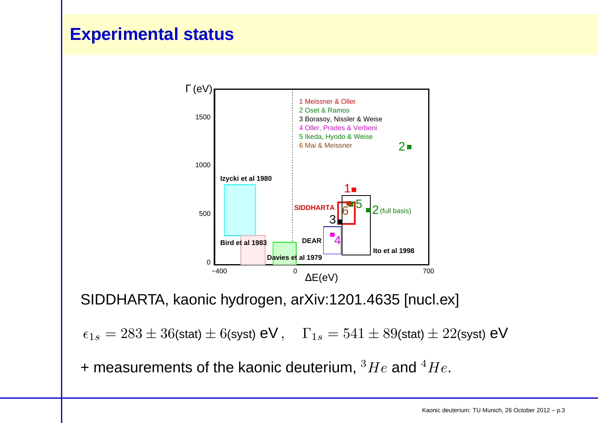## **Experimental status**



SIDDHARTA, kaonic hydrogen, arXiv:1201.4635 [nucl.ex]

 $\epsilon_{1s} = 283 \pm 36$ (stat)  $\pm$   $6$ (syst)  $\mathsf{eV}$  ,  $\;\;\Gamma_{1s} = 541 \pm 89$ (stat)  $\pm$   $22$ (syst)  $\mathsf{eV}$ 

+ measurements of the kaonic deuterium,  $^3He$  and  $^4He$ .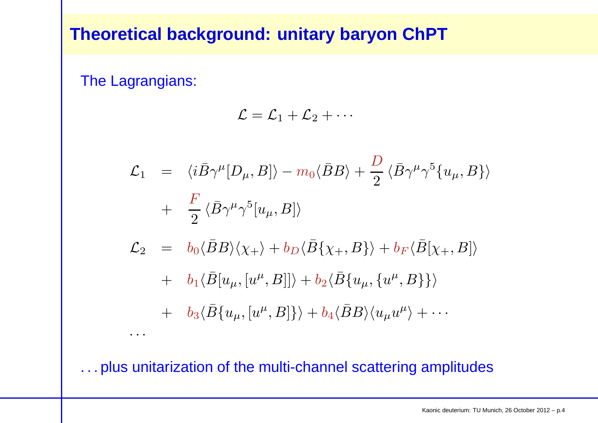## **Theoretical background: unitary baryon ChPT**

The Lagrangians:

·· ·

$$
\mathcal{L} = \mathcal{L}_1 + \mathcal{L}_2 + \cdots
$$

$$
\mathcal{L}_{1} = \langle i\bar{B}\gamma^{\mu}[D_{\mu},B]\rangle - m_{0}\langle\bar{B}B\rangle + \frac{D}{2}\langle\bar{B}\gamma^{\mu}\gamma^{5}\{u_{\mu},B\}\rangle
$$
  
+ 
$$
\frac{F}{2}\langle\bar{B}\gamma^{\mu}\gamma^{5}[u_{\mu},B]\rangle
$$
  

$$
\mathcal{L}_{2} = b_{0}\langle\bar{B}B\rangle\langle\chi_{+}\rangle + b_{D}\langle\bar{B}\{\chi_{+},B\}\rangle + b_{F}\langle\bar{B}[\chi_{+},B]\rangle
$$

+ 
$$
b_1 \langle \bar{B}[u_\mu,[u^\mu,B]] \rangle + b_2 \langle \bar{B}\{u_\mu,\{u^\mu,B\}\}\rangle
$$

+ 
$$
b_3\langle \bar{B}\{u_\mu,[u^\mu,B]\}\rangle + b_4\langle \bar{B}B\rangle\langle u_\mu u^\mu\rangle + \cdots
$$

. . . plus unitarization of the multi-channel scattering amplitudes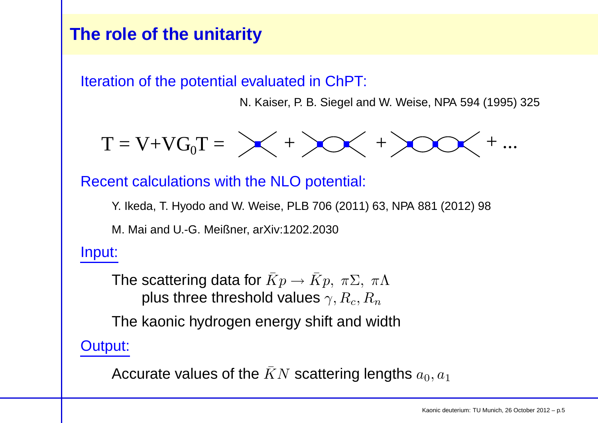## **The role of the unitarity**

Iteration of the potential evaluated in ChPT:

N. Kaiser, P. B. Siegel and W. Weise, NPA 594 (1995) 325

$$
T = V + VG_0T = \bigtimes + \bigtimes + \bigtimes
$$

Recent calculations with the NLO potential:

Y. Ikeda, T. Hyodo and W. Weise, PLB 706 (2011) 63, NPA 881 (2012) 98

M. Mai and U.-G. Meißner, arXiv:1202.2030

Input:

The scattering data for  $\bar Kp$  $\longrightarrow$  $\rightarrow \bar{K}p, \; \pi \Sigma, \; \pi \Lambda$ plus three threshold values  $\gamma, R_c, R_n$ 

The kaonic hydrogen energy shift and width

Output:

Accurate values of the  $\bar{K}N$  scattering lengths  $a_0,a_1$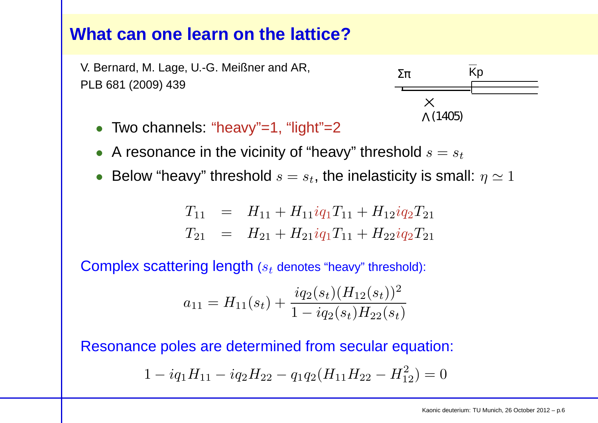## **What can one learn on the lattice?**

V. Bernard, M. Lage, U.-G. Meißner and AR, PLB 681 (2009) 439



- Two channels: "heavy"=1, "light"=2
- $\bullet\,$  A resonance in the vicinity of "heavy" threshold  $s=s_t$
- $\bullet\,$  Below "heavy" threshold  $s=s_t,$  the inelasticity is small:  $\eta\simeq 1$

$$
T_{11} = H_{11} + H_{11}iq_1T_{11} + H_{12}iq_2T_{21}
$$
  
\n
$$
T_{21} = H_{21} + H_{21}iq_1T_{11} + H_{22}iq_2T_{21}
$$

 $\textsf{Complex scattering length}$  ( $s_t$  denotes "heavy" threshold):

$$
a_{11} = H_{11}(s_t) + \frac{i q_2(s_t) (H_{12}(s_t))^2}{1 - i q_2(s_t) H_{22}(s_t)}
$$

Resonance poles are determined from secular equation:

$$
1 - iq_1H_{11} - iq_2H_{22} - q_1q_2(H_{11}H_{22} - H_{12}^2) = 0
$$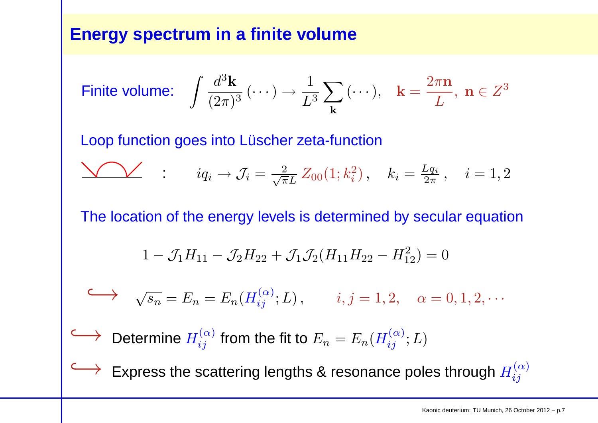## **Energy spectrum in <sup>a</sup> finite volume**

$$
\text{Finite volume:} \quad \int \frac{d^3 \mathbf{k}}{(2\pi)^3} \, (\cdots) \to \frac{1}{L^3} \sum_{\mathbf{k}} \, (\cdots), \quad \mathbf{k} = \frac{2\pi \mathbf{n}}{L}, \ \mathbf{n} \in Z^3
$$

Loop function goes into Lüscher zeta-function

$$
\sum_{i} i_{q_i} \to \mathcal{J}_i = \frac{2}{\sqrt{\pi}L} Z_{00}(1; k_i^2), \quad k_i = \frac{Lq_i}{2\pi}, \quad i = 1, 2
$$

The location of the energy levels is determined by secular equation

$$
1 - \mathcal{J}_1 H_{11} - \mathcal{J}_2 H_{22} + \mathcal{J}_1 \mathcal{J}_2 (H_{11} H_{22} - H_{12}^2) = 0
$$

$$
\longleftrightarrow \sqrt{s_n} = E_n = E_n(H_{ij}^{(\alpha)}; L), \qquad i, j = 1, 2, \quad \alpha = 0, 1, 2, \cdots
$$

 $\longleftrightarrow$  Determine  $H_{ij}^{(\alpha)}$  from the fit to  $E_n = E_n(\rightarrow)$  Fynress the scattering lengths & resons  $H_{ij}^{(\alpha)};L)$ 

 $\hookrightarrow$ 

Express the scattering lengths & resonance poles through  $H_{ij}^{(\alpha)}$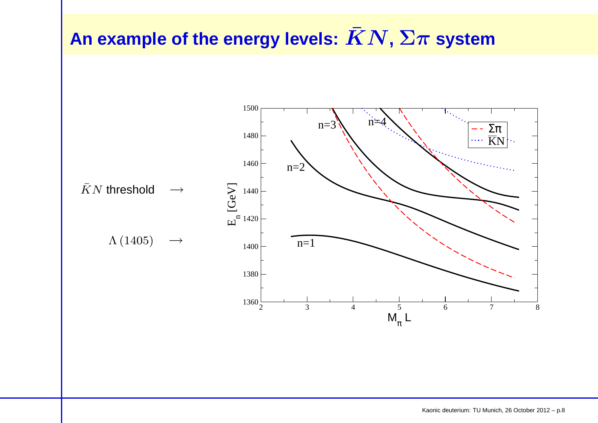# ${\mathbf A}$ n example of the energy levels:  $\bar K N, \Sigma \pi$  system

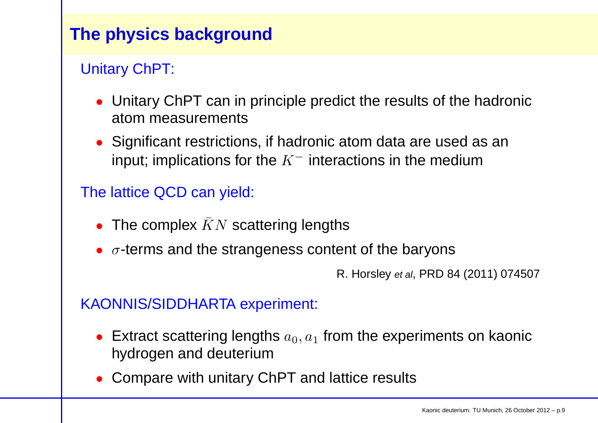## **The physics background**

## Unitary ChPT:

- Unitary ChPT can in principle predict the results of the hadronicatom measurements
- Significant restrictions, if hadronic atom data are used as <sup>a</sup>ninput; implications for the  $K^-$  interactions in the medium

## The lattice QCD can yield:

- The complex  $\bar{K}N$  scattering lengths
- $\bullet~~\sigma$ -terms and the strangeness content of the baryons

R. Horsley et al, PRD <sup>84</sup> (2011) <sup>074507</sup>

## KAONNIS/SIDDHARTA experiment:

- Extract scattering lengths  $a_0, a_1$  hydrogen and deuterium $_{\rm 1}$  from the experiments on kaonic
- Compare with unitary ChPT and lattice results $\bullet$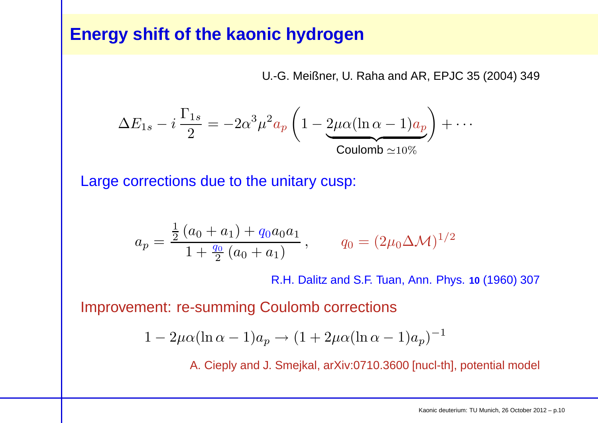## **Energy shift of the kaonic hydrogen**

U.-G. Meißner, U. Raha and AR, EPJC 35 (2004) 349

$$
\Delta E_{1s} - i \frac{\Gamma_{1s}}{2} = -2\alpha^3 \mu^2 a_p \left( 1 - 2\mu \alpha (\ln \alpha - 1) a_p \right) + \cdots
$$
  
Coulomb  $\simeq 10\%$ 

Large corrections due to the unitary cusp:

$$
a_p = \frac{\frac{1}{2} (a_0 + a_1) + q_0 a_0 a_1}{1 + \frac{q_0}{2} (a_0 + a_1)}, \qquad q_0 = (2\mu_0 \Delta \mathcal{M})^{1/2}
$$

R.H. Dalitz and S.F. Tuan, Ann. Phys. **<sup>10</sup>** (1960) <sup>307</sup>

Improvement: re-summing Coulomb corrections

$$
1 - 2\mu\alpha(\ln \alpha - 1)a_p \to (1 + 2\mu\alpha(\ln \alpha - 1)a_p)^{-1}
$$

A. Cieply and J. Smejkal, arXiv:0710.3600 [nucl-th], potential model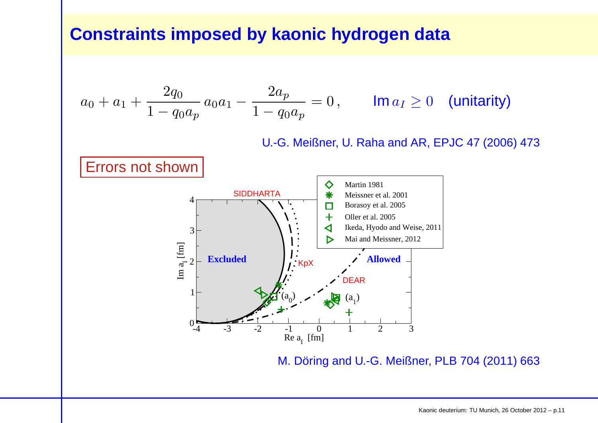## **Constraints imposed by kaonic hydrogen data**

$$
a_0 + a_1 + \frac{2q_0}{1 - q_0 a_p} a_0 a_1 - \frac{2a_p}{1 - q_0 a_p} = 0, \qquad \text{Im } a_I \ge 0 \quad \text{(unitarity)}
$$

U.-G. Meißner, U. Raha and AR, EPJC <sup>47</sup> (2006) 473



M. Döring and U.-G. Meißner, PLB 704 (2011) 663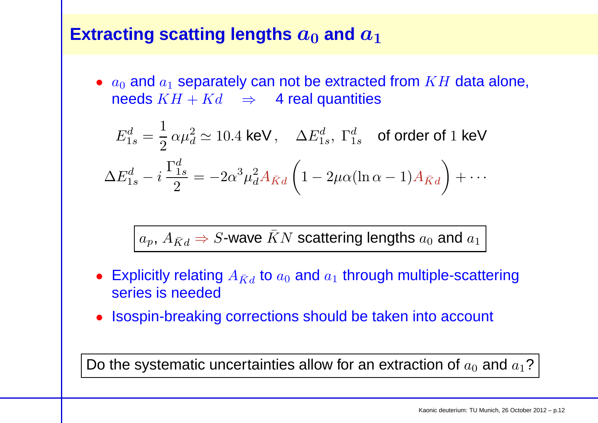#### ${\sf Extracting}$   ${\sf scattering}$   ${\sf lengths}$   $a_0$  $_{\mathbf{0}}$  and  $\boldsymbol{a}_1$

 $\bullet$   $a_0$  and  $a_1$ needs  $KH+Kd\quad\Rightarrow\quad$  4 real quantities  $_1$  separately can not be extracted from  $KH$  data alone,

$$
E_{1s}^d = \frac{1}{2} \alpha \mu_d^2 \simeq 10.4 \text{ keV}, \quad \Delta E_{1s}^d, \Gamma_{1s}^d \quad \text{of order of 1 keV}
$$

$$
\Delta E_{1s}^d - i \frac{\Gamma_{1s}^d}{2} = -2\alpha^3 \mu_d^2 A_{\bar{K}d} \left( 1 - 2\mu \alpha (\ln \alpha - 1) A_{\bar{K}d} \right) + \cdots
$$

 $a_p, \, A_{\bar{K}d} \Rightarrow S$ -wave  $\bar{K}N$  scattering lengths  $a_0$  and  $a_1$ 

- $\bullet~$  Explicitly relating  $A_{\bar{K} d}$  to  $a_0$  and  $a_1$  series is needed $_1$  through multiple-scattering
- Isospin-breaking corrections should be taken into account

Do the systematic uncertainties allow for an extraction of  $a_0$  and  $a_1$ ?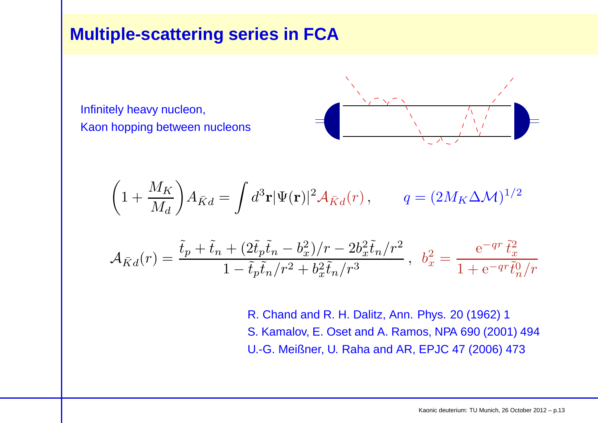## **Multiple-scattering series in FCA**

Infinitely heavy nucleon, Kaon hopping between nucleons



$$
\left(1 + \frac{M_K}{M_d}\right) A_{\bar{K}d} = \int d^3 \mathbf{r} |\Psi(\mathbf{r})|^2 \mathcal{A}_{\bar{K}d}(r), \qquad q = (2M_K \Delta \mathcal{M})^{1/2}
$$
  

$$
\tilde{t}_p + \tilde{t}_n + (2\tilde{t}_p \tilde{t}_n - b_x^2)/r - 2b_x^2 \tilde{t}_n/r^2 \qquad e^{-qr} \tilde{t}_x^2
$$

$$
\mathcal{A}_{\bar{K}d}(r) = \frac{\tilde{t}_p + \tilde{t}_n + (2\tilde{t}_p \tilde{t}_n - b_x^2)/r - 2b_x^2 \tilde{t}_n/r^2}{1 - \tilde{t}_p \tilde{t}_n/r^2 + b_x^2 \tilde{t}_n/r^3}, \ \ b_x^2 = \frac{e^{-qr} \tilde{t}_x^2}{1 + e^{-qr} \tilde{t}_n^0/r}
$$

R. Chand and R. H. Dalitz, Ann. Phys. 20 (1962) <sup>1</sup> S. Kamalov, E. Oset and A. Ramos, NPA 690 (2001) 494U.-G. Meißner, U. Raha and AR, EPJC <sup>47</sup> (2006) 473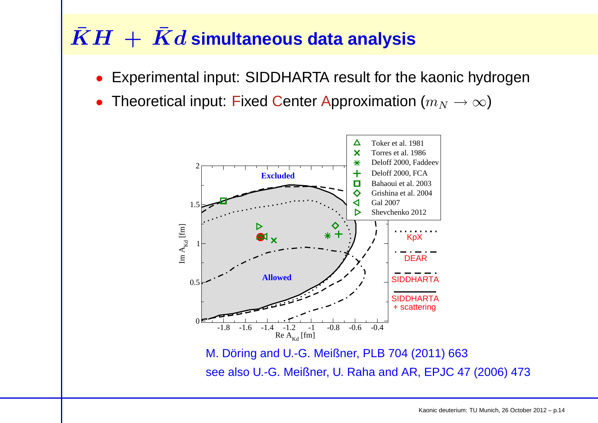# $\bar{K}H \, + \, \bar{K}d$  simultaneous data analysis

- •Experimental input: SIDDHARTA result for the kaonic hydrogen
- • $\bullet$  Theoretical input: Fixed Center Approximation  $(m_N\rightarrow\infty)$



see also U.-G. Meißner, U. Raha and AR, EPJC <sup>47</sup> (2006) 473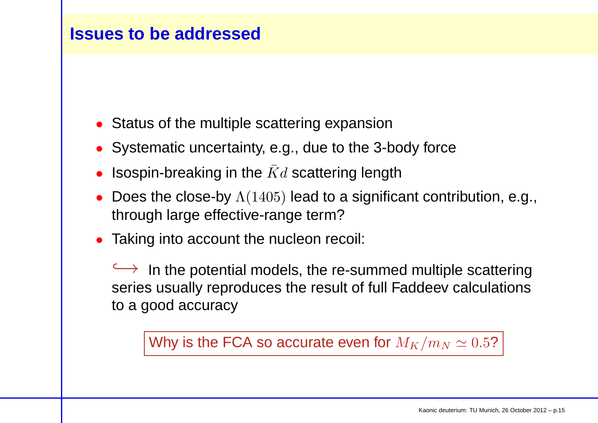## **Issues to be addressed**

- Status of the multiple scattering expansion
- Systematic uncertainty, e.g., due to the 3-body force
- $\bullet$  $\bullet$  Isospin-breaking in the  $\bar{K}d$  scattering length
- Does the close-by  $\Lambda(1405)$  lead to a significant contribution, e.g., through large effective-range term?
- Taking into account the nucleon recoil:

 $\leftrightarrow$  In the potential models, the re-summed multiple scattering  $\hookrightarrow$  In the potential models, the re-summed multiple scattering<br>series usually reproduces the result of full Faddeev calculations to <sup>a</sup> good accuracy

Why is the FCA so accurate even for  $M_K/m_N \simeq 0.5?$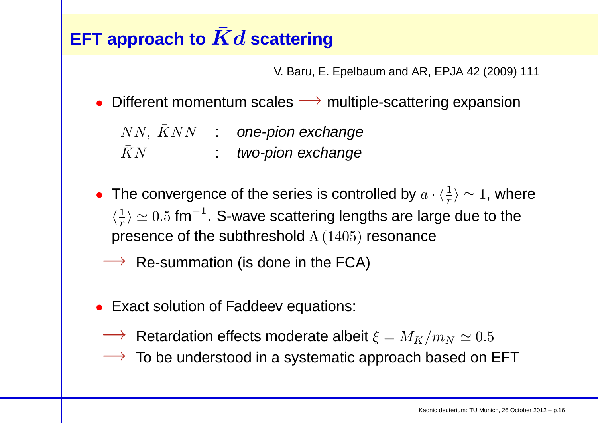## EFT approach to  $\bar{K}d$  scattering

V. Baru, E. Epelbaum and AR, EPJA <sup>42</sup> (2009) <sup>111</sup>

• Different momentum scales  $\longrightarrow$  multiple-scattering expansion

 $NN,\;\bar K NN \quad : \quad$  one-pion exchange

- $\bar{K}N^ \ KN$   $\qquad \quad \ : \quad$  two-pion exchange
- The convergence of the series is controlled by  $a \cdot \langle \frac{1}{r} \rangle \simeq 1$ , where  $\langle \frac{1}{r} \rangle \simeq 0.5$  fm<sup>-1</sup>. S-wave scattering lengths are large due to the presence of the subthreshold  $\Lambda\,(1405)$  resonance
	- $\rightarrow$  Re-summation (is done in the FCA)
- Exact solution of Faddeev equations:
	-
	- $→$  Retardation effects moderate albeit  $\xi = M_K/m_N \simeq 0.5$ <br>→ To be understood in a systematic approach based on l  $\rightarrow$  To be understood in a systematic approach based on EFT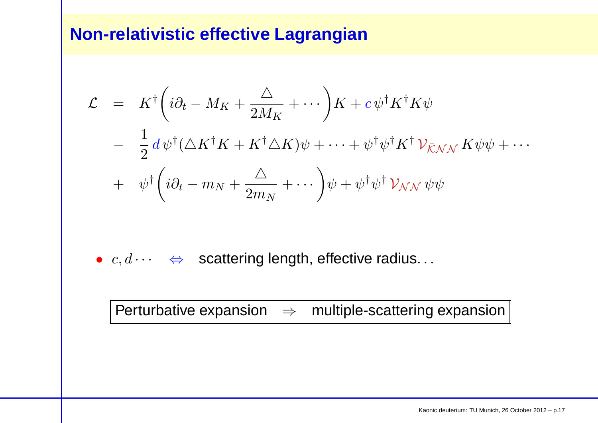## **Non-relativistic effective Lagrangian**

$$
\mathcal{L} = K^{\dagger} \left( i \partial_t - M_K + \frac{\Delta}{2M_K} + \cdots \right) K + c \psi^{\dagger} K^{\dagger} K \psi
$$
  
- 
$$
\frac{1}{2} d \psi^{\dagger} (\Delta K^{\dagger} K + K^{\dagger} \Delta K) \psi + \cdots + \psi^{\dagger} \psi^{\dagger} K^{\dagger} \mathcal{V}_{\bar{K} N N} K \psi \psi + \cdots
$$
  
+ 
$$
\psi^{\dagger} \left( i \partial_t - m_N + \frac{\Delta}{2m_N} + \cdots \right) \psi + \psi^{\dagger} \psi^{\dagger} \mathcal{V}_{NN} \psi \psi
$$

•  $c, d \cdots \Leftrightarrow$  scattering length, effective radius...

Perturbative expansion ⇒ multiple-scattering expansion<br>————————————————————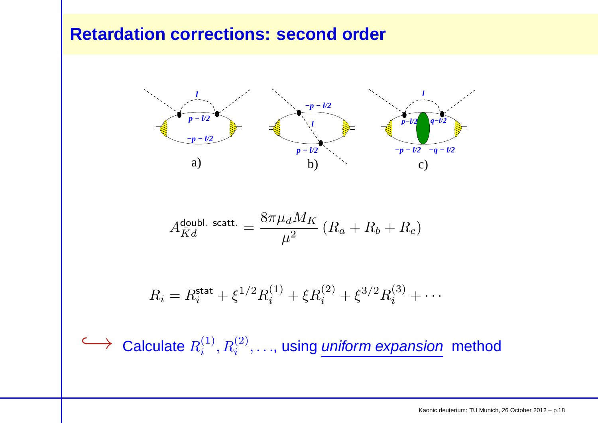## **Retardation corrections: second order**



$$
A_{\bar{K}d}^{\text{doubl. scatt.}} = \frac{8\pi\mu_d M_K}{\mu^2}\left(R_a+R_b+R_c\right)
$$

$$
R_i = R_i^{\text{stat}} + \xi^{1/2} R_i^{(1)} + \xi R_i^{(2)} + \xi^{3/2} R_i^{(3)} + \cdots
$$

→ Calculate  $R_i^{(1)}, R_i^{(2)}, \ldots$ , using *uniform expansion* method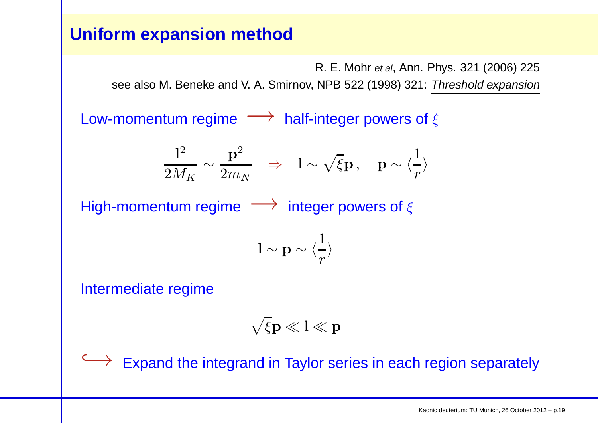## **Uniform expansion method**

R. E. Mohr *et al*, Ann. Phys. 321 (2006) 225

see also M. Beneke and V. A. Smirnov, NPB 522 (1998) 321: Threshold expansion

Low-momentum regime  $\longrightarrow$  half-integer powers of  $\xi$ 

$$
\frac{1^2}{2M_K} \sim \frac{\mathbf{p}^2}{2m_N} \quad \Rightarrow \quad \mathbf{l} \sim \sqrt{\xi} \mathbf{p} \,, \quad \mathbf{p} \sim \langle \frac{1}{r} \rangle
$$

 $\mathsf{High-momentum}\ \mathsf{regime}\ \longrightarrow\ \mathsf{integer}\ \mathsf{powers}\ \mathsf{of}\ \xi.$ 

l  $\sim$  p  $\sim \langle$ 1 $r\,$  $\left\langle \right\rangle$ 

Intermediate regime

$$
\sqrt{\xi}p\ll l\ll p
$$

→ Expand the integrand in Taylor series in each region separately<br>
→ Expand the integrand in Taylor series in each region separately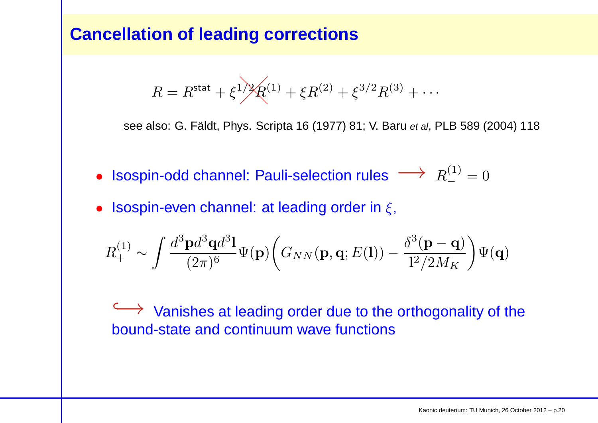## **Cancellation of leading corrections**

$$
R = R^{\text{stat}} + \xi^{1/2} R^{(1)} + \xi R^{(2)} + \xi^{3/2} R^{(3)} + \cdots
$$

see also: G. Fäldt, Phys. Scripta 16 (1977) 81; V. Baru *et al*, PLB 589 (2004) 118

- Isospin-odd channel: Pauli-selection rules  $\longrightarrow R_{-}^{(1)}$  $\frac{1}{2} = 0$
- Isospin-even channel: at leading order in  $\xi$ ,

$$
R^{(1)}_{+} \sim \int \frac{d^3\mathbf{p}d^3\mathbf{q}d^3\mathbf{l}}{(2\pi)^6} \Psi(\mathbf{p}) \bigg(G_{NN}(\mathbf{p},\mathbf{q};E(\mathbf{l})) - \frac{\delta^3(\mathbf{p}-\mathbf{q})}{\mathbf{l}^2/2M_K}\bigg)\Psi(\mathbf{q})
$$

→ Vanishes at leading order due to the orthogonality of the<br>bound-state and continuum wave functions bound-state and continuum wave functions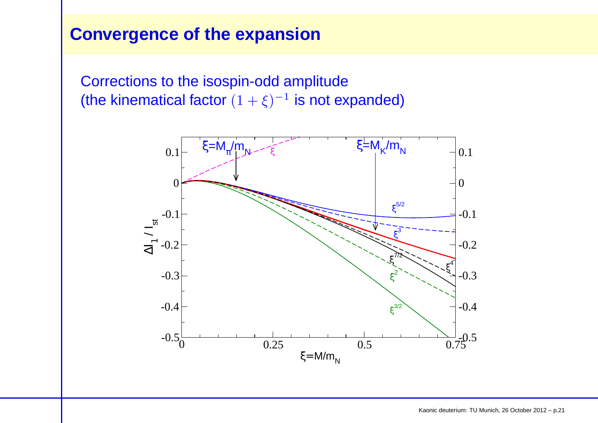## **Convergence of the expansion**

Corrections to the isospin-odd amplitude(the kinematical factor  $(1 + \xi)^{-1}$  is not expanded)

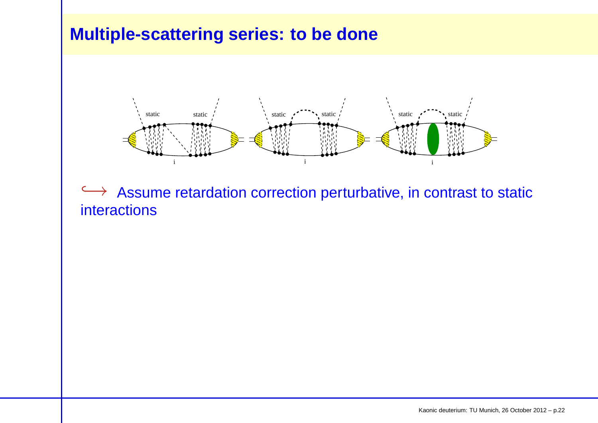## **Multiple-scattering series: to be done**



 $\hookrightarrow$  Assume retardation correction perturbative, in contrast to static interactions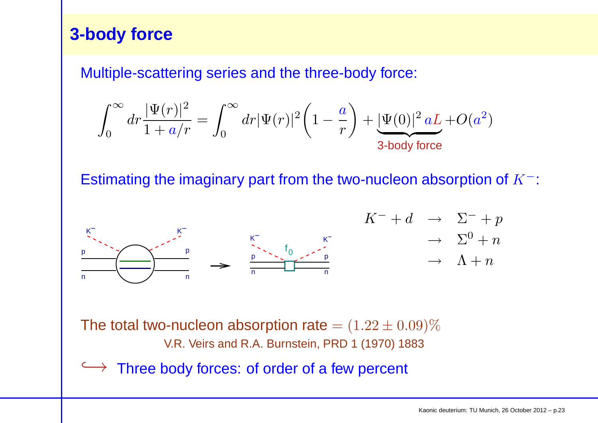## **3-body force**

Multiple-scattering series and the three-body force:

$$
\int_0^\infty dr \frac{|\Psi(r)|^2}{1+a/r} = \int_0^\infty dr |\Psi(r)|^2 \bigg(1-\frac{a}{r}\bigg) + \underbrace{|\Psi(0)|^2\,aL}_{\text{3-body force}} + O(a^2)
$$

Estimating the imaginary part from the two-nucleon absorption of  $K^-$ :



The total two-nucleon absorption rate  $= (1.22 \pm 0.09)\%$ V.R. Veirs and R.A. Burnstein, PRD <sup>1</sup> (1970) 1883

→ Three body forces: of order of a few percent<br>
————————————————————